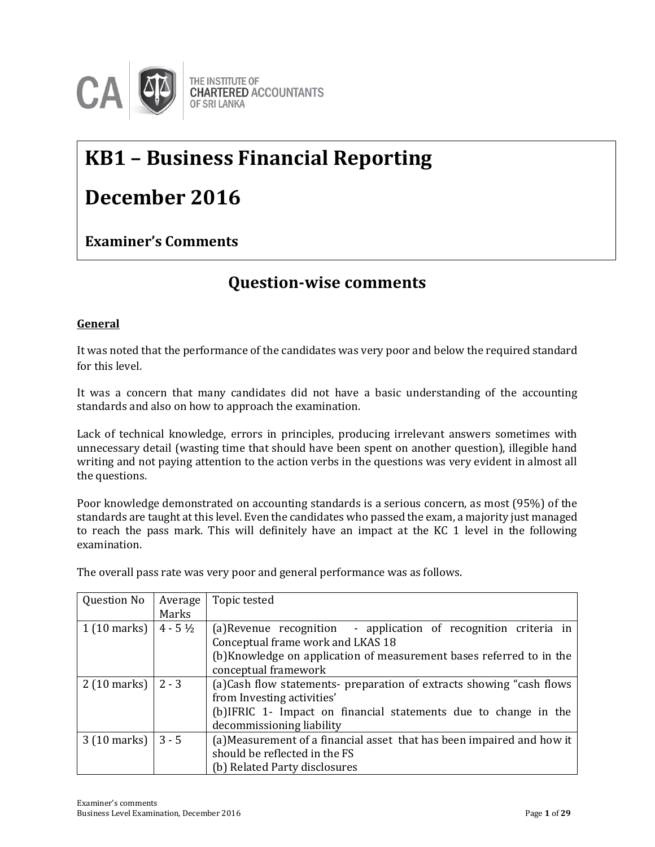

# **KB1 – Business Financial Reporting**

### **December 2016**

**Examiner's Comments**

### **Question-wise comments**

#### **General**

It was noted that the performance of the candidates was very poor and below the required standard for this level.

It was a concern that many candidates did not have a basic understanding of the accounting standards and also on how to approach the examination.

Lack of technical knowledge, errors in principles, producing irrelevant answers sometimes with unnecessary detail (wasting time that should have been spent on another question), illegible hand writing and not paying attention to the action verbs in the questions was very evident in almost all the questions.

Poor knowledge demonstrated on accounting standards is a serious concern, as most (95%) of the standards are taught at this level. Even the candidates who passed the exam, a majority just managed to reach the pass mark. This will definitely have an impact at the KC 1 level in the following examination.

The overall pass rate was very poor and general performance was as follows.

| Question No                   | Average            | Topic tested                                                          |  |  |
|-------------------------------|--------------------|-----------------------------------------------------------------------|--|--|
|                               | Marks              |                                                                       |  |  |
| $1(10 \text{ marks})$         | $4 - 5\frac{1}{2}$ | (a) Revenue recognition - application of recognition criteria in      |  |  |
|                               |                    | Conceptual frame work and LKAS 18                                     |  |  |
|                               |                    | (b)Knowledge on application of measurement bases referred to in the   |  |  |
|                               |                    | conceptual framework                                                  |  |  |
| $2(10 \text{ marks})$   2 - 3 |                    | (a)Cash flow statements- preparation of extracts showing "cash flows  |  |  |
|                               |                    | from Investing activities'                                            |  |  |
|                               |                    | (b)IFRIC 1- Impact on financial statements due to change in the       |  |  |
|                               |                    | decommissioning liability                                             |  |  |
| 3 (10 marks)                  | $3 - 5$            | (a)Measurement of a financial asset that has been impaired and how it |  |  |
|                               |                    | should be reflected in the FS                                         |  |  |
|                               |                    | (b) Related Party disclosures                                         |  |  |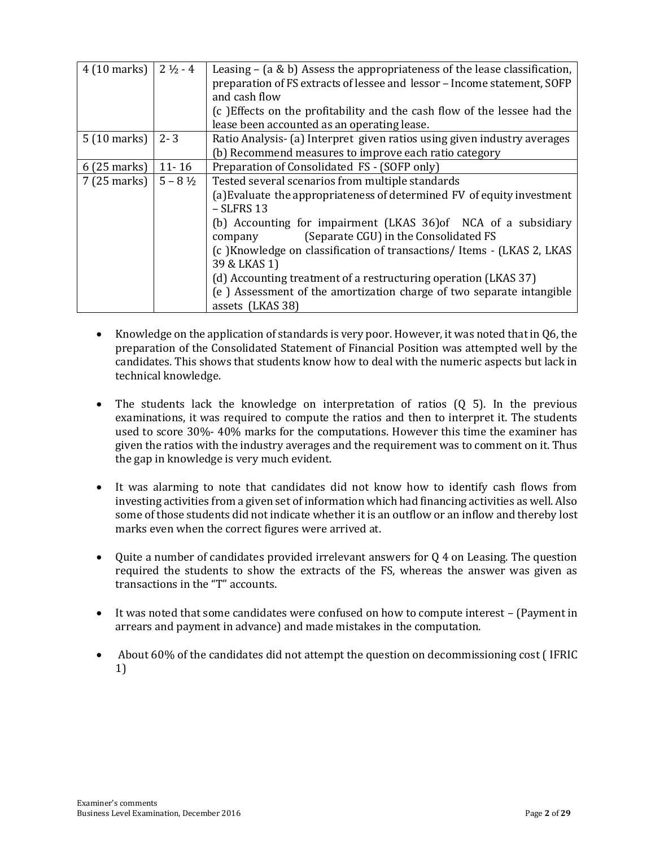| $4(10 \text{ marks})$ | $2\frac{1}{2}$ - 4 | Leasing $-$ (a & b) Assess the appropriateness of the lease classification,<br>preparation of FS extracts of lessee and lessor - Income statement, SOFP<br>and cash flow<br>(c) Effects on the profitability and the cash flow of the lessee had the<br>lease been accounted as an operating lease.                                                                                                                                                                                                                       |  |  |
|-----------------------|--------------------|---------------------------------------------------------------------------------------------------------------------------------------------------------------------------------------------------------------------------------------------------------------------------------------------------------------------------------------------------------------------------------------------------------------------------------------------------------------------------------------------------------------------------|--|--|
| $5(10 \text{ marks})$ | $2 - 3$            | Ratio Analysis- (a) Interpret given ratios using given industry averages                                                                                                                                                                                                                                                                                                                                                                                                                                                  |  |  |
|                       |                    | (b) Recommend measures to improve each ratio category                                                                                                                                                                                                                                                                                                                                                                                                                                                                     |  |  |
| $6(25 \text{ marks})$ | $11 - 16$          | Preparation of Consolidated FS - (SOFP only)                                                                                                                                                                                                                                                                                                                                                                                                                                                                              |  |  |
| 7 (25 marks)          | $5 - 8\frac{1}{2}$ | Tested several scenarios from multiple standards<br>(a) Evaluate the appropriateness of determined FV of equity investment<br>$-$ SLFRS 13<br>(b) Accounting for impairment (LKAS 36) of NCA of a subsidiary<br>(Separate CGU) in the Consolidated FS<br>company<br>(c) Knowledge on classification of transactions/ Items - (LKAS 2, LKAS<br>39 & LKAS 1)<br>(d) Accounting treatment of a restructuring operation (LKAS 37)<br>(e) Assessment of the amortization charge of two separate intangible<br>assets (LKAS 38) |  |  |

- Knowledge on the application of standards is very poor. However, it was noted that in Q6, the preparation of the Consolidated Statement of Financial Position was attempted well by the candidates. This shows that students know how to deal with the numeric aspects but lack in technical knowledge.
- The students lack the knowledge on interpretation of ratios (Q 5). In the previous examinations, it was required to compute the ratios and then to interpret it. The students used to score 30%- 40% marks for the computations. However this time the examiner has given the ratios with the industry averages and the requirement was to comment on it. Thus the gap in knowledge is very much evident.
- It was alarming to note that candidates did not know how to identify cash flows from investing activities from a given set of information which had financing activities as well. Also some of those students did not indicate whether it is an outflow or an inflow and thereby lost marks even when the correct figures were arrived at.
- Quite a number of candidates provided irrelevant answers for Q 4 on Leasing. The question required the students to show the extracts of the FS, whereas the answer was given as transactions in the "T" accounts.
- It was noted that some candidates were confused on how to compute interest (Payment in arrears and payment in advance) and made mistakes in the computation.
- About 60% of the candidates did not attempt the question on decommissioning cost ( IFRIC 1)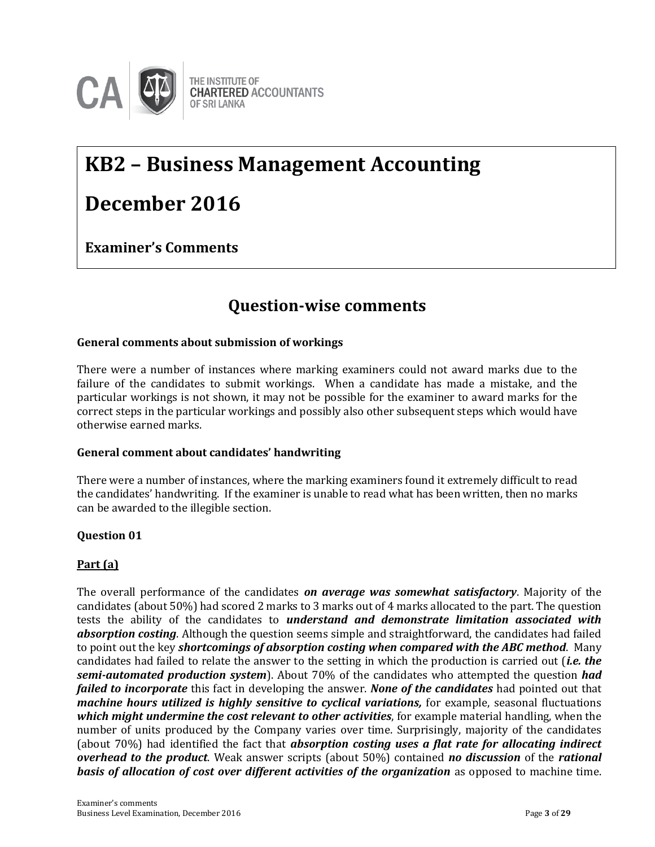

# **KB2 – Business Management Accounting**

### **December 2016**

**Examiner's Comments**

### **Question-wise comments**

#### **General comments about submission of workings**

There were a number of instances where marking examiners could not award marks due to the failure of the candidates to submit workings. When a candidate has made a mistake, and the particular workings is not shown, it may not be possible for the examiner to award marks for the correct steps in the particular workings and possibly also other subsequent steps which would have otherwise earned marks.

#### **General comment about candidates' handwriting**

There were a number of instances, where the marking examiners found it extremely difficult to read the candidates' handwriting. If the examiner is unable to read what has been written, then no marks can be awarded to the illegible section.

#### **Question 01**

#### **Part (a)**

The overall performance of the candidates *on average was somewhat satisfactory*. Majority of the candidates (about 50%) had scored 2 marks to 3 marks out of 4 marks allocated to the part. The question tests the ability of the candidates to *understand and demonstrate limitation associated with absorption costing*. Although the question seems simple and straightforward, the candidates had failed to point out the key *shortcomings of absorption costing when compared with the ABC method*. Many candidates had failed to relate the answer to the setting in which the production is carried out (*i.e. the semi-automated production system*). About 70% of the candidates who attempted the question *had failed to incorporate* this fact in developing the answer. *None of the candidates* had pointed out that *machine hours utilized is highly sensitive to cyclical variations,* for example, seasonal fluctuations *which might undermine the cost relevant to other activities*, for example material handling, when the number of units produced by the Company varies over time. Surprisingly, majority of the candidates (about 70%) had identified the fact that *absorption costing uses a flat rate for allocating indirect overhead to the product*. Weak answer scripts (about 50%) contained *no discussion* of the *rational basis of allocation of cost over different activities of the organization* **as opposed to machine time.**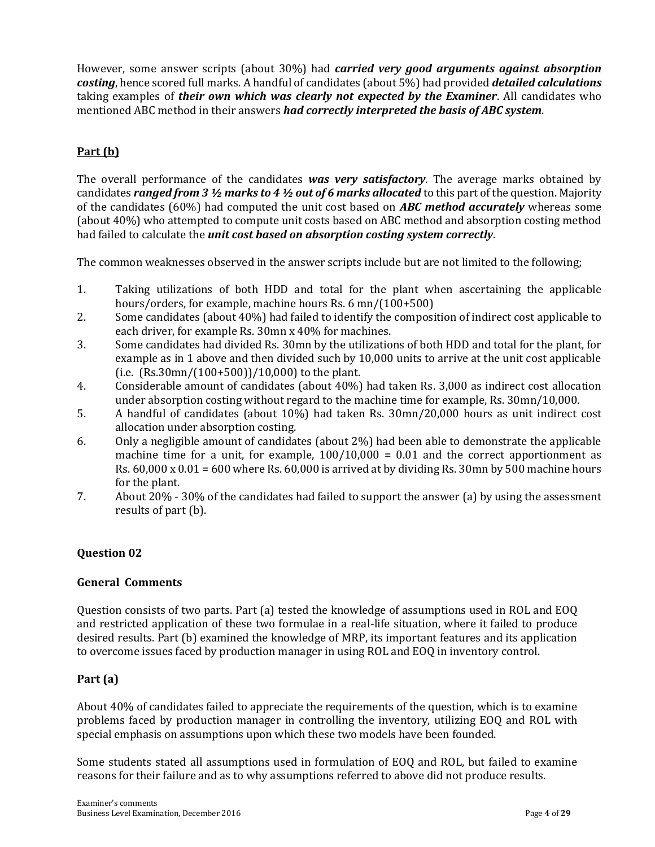However, some answer scripts (about 30%) had *carried very good arguments against absorption costing*, hence scored full marks. A handful of candidates (about 5%) had provided *detailed calculations* taking examples of *their own which was clearly not expected by the Examiner*. All candidates who mentioned ABC method in their answers *had correctly interpreted the basis of ABC system*.

#### **Part (b)**

The overall performance of the candidates *was very satisfactory*. The average marks obtained by candidates *ranged from 3 ½ marks to 4 ½ out of 6 marks allocated* to this part of the question. Majority of the candidates (60%) had computed the unit cost based on *ABC method accurately* whereas some (about 40%) who attempted to compute unit costs based on ABC method and absorption costing method had failed to calculate the *unit cost based on absorption costing system correctly*.

The common weaknesses observed in the answer scripts include but are not limited to the following;

- 1. Taking utilizations of both HDD and total for the plant when ascertaining the applicable hours/orders, for example, machine hours Rs. 6 mn/(100+500)
- 2. Some candidates (about 40%) had failed to identify the composition of indirect cost applicable to each driver, for example Rs. 30mn x 40% for machines.
- 3. Some candidates had divided Rs. 30mn by the utilizations of both HDD and total for the plant, for example as in 1 above and then divided such by 10,000 units to arrive at the unit cost applicable (i.e.  $(Rs.30mn/(100+500))/10,000$ ) to the plant.
- 4. Considerable amount of candidates (about 40%) had taken Rs. 3,000 as indirect cost allocation under absorption costing without regard to the machine time for example, Rs. 30mn/10,000.
- 5. A handful of candidates (about 10%) had taken Rs. 30mn/20,000 hours as unit indirect cost allocation under absorption costing.
- 6. Only a negligible amount of candidates (about 2%) had been able to demonstrate the applicable machine time for a unit, for example,  $100/10,000 = 0.01$  and the correct apportionment as Rs.  $60,000 \times 0.01 = 600$  where Rs.  $60,000$  is arrived at by dividing Rs. 30mn by 500 machine hours for the plant.
- 7. About 20% 30% of the candidates had failed to support the answer (a) by using the assessment results of part (b).

#### **Question 02**

#### **General Comments**

Question consists of two parts. Part (a) tested the knowledge of assumptions used in ROL and EOQ and restricted application of these two formulae in a real-life situation, where it failed to produce desired results. Part (b) examined the knowledge of MRP, its important features and its application to overcome issues faced by production manager in using ROL and EOQ in inventory control.

#### **Part (a)**

About 40% of candidates failed to appreciate the requirements of the question, which is to examine problems faced by production manager in controlling the inventory, utilizing EOQ and ROL with special emphasis on assumptions upon which these two models have been founded.

Some students stated all assumptions used in formulation of EOQ and ROL, but failed to examine reasons for their failure and as to why assumptions referred to above did not produce results.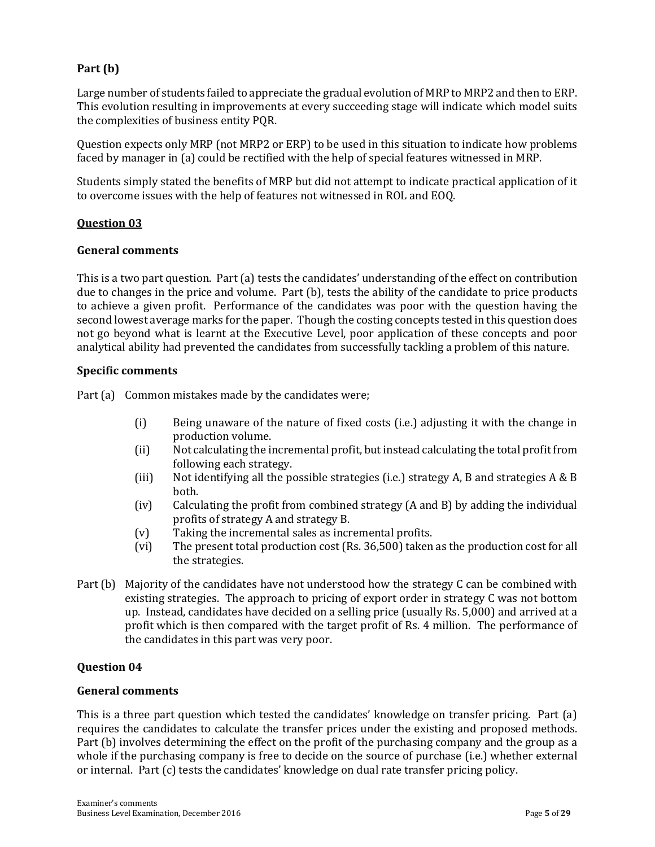### **Part (b)**

Large number of students failed to appreciate the gradual evolution of MRP to MRP2 and then to ERP. This evolution resulting in improvements at every succeeding stage will indicate which model suits the complexities of business entity PQR.

Question expects only MRP (not MRP2 or ERP) to be used in this situation to indicate how problems faced by manager in (a) could be rectified with the help of special features witnessed in MRP.

Students simply stated the benefits of MRP but did not attempt to indicate practical application of it to overcome issues with the help of features not witnessed in ROL and EOQ.

#### **Question 03**

#### **General comments**

This is a two part question. Part (a) tests the candidates' understanding of the effect on contribution due to changes in the price and volume. Part (b), tests the ability of the candidate to price products to achieve a given profit. Performance of the candidates was poor with the question having the second lowest average marks for the paper. Though the costing concepts tested in this question does not go beyond what is learnt at the Executive Level, poor application of these concepts and poor analytical ability had prevented the candidates from successfully tackling a problem of this nature.

#### **Specific comments**

Part (a) Common mistakes made by the candidates were;

- (i) Being unaware of the nature of fixed costs (i.e.) adjusting it with the change in production volume.
- (ii) Not calculating the incremental profit, but instead calculating the total profit from following each strategy.
- (iii) Not identifying all the possible strategies (i.e.) strategy A, B and strategies  $A \& B$ both.
- (iv) Calculating the profit from combined strategy (A and B) by adding the individual profits of strategy A and strategy B.
- (v) Taking the incremental sales as incremental profits.
- (vi) The present total production cost (Rs. 36,500) taken as the production cost for all the strategies.
- Part (b) Majority of the candidates have not understood how the strategy C can be combined with existing strategies. The approach to pricing of export order in strategy C was not bottom up. Instead, candidates have decided on a selling price (usually Rs. 5,000) and arrived at a profit which is then compared with the target profit of Rs. 4 million. The performance of the candidates in this part was very poor.

#### **Question 04**

#### **General comments**

This is a three part question which tested the candidates' knowledge on transfer pricing. Part (a) requires the candidates to calculate the transfer prices under the existing and proposed methods. Part (b) involves determining the effect on the profit of the purchasing company and the group as a whole if the purchasing company is free to decide on the source of purchase (i.e.) whether external or internal. Part (c) tests the candidates' knowledge on dual rate transfer pricing policy.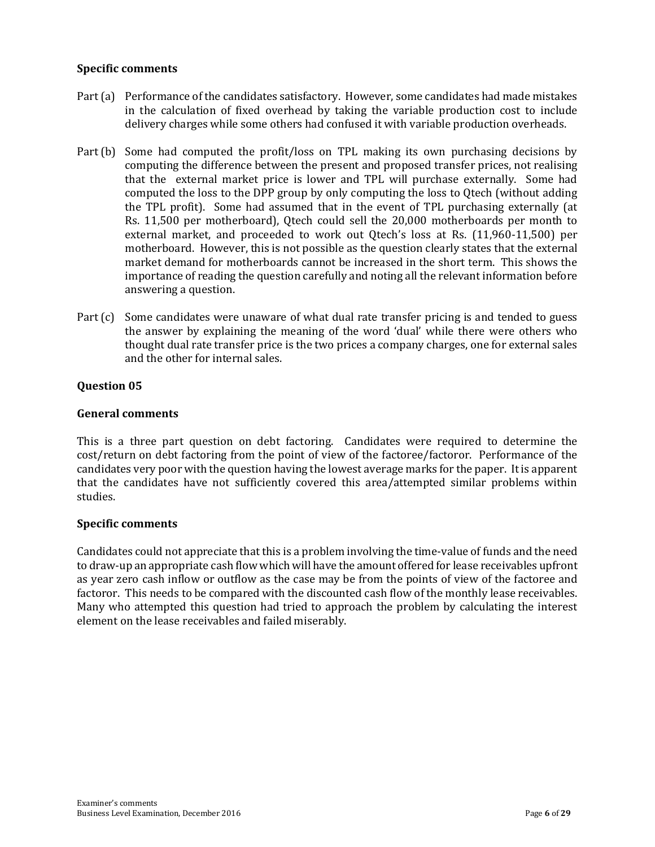#### **Specific comments**

- Part (a) Performance of the candidates satisfactory. However, some candidates had made mistakes in the calculation of fixed overhead by taking the variable production cost to include delivery charges while some others had confused it with variable production overheads.
- Part (b) Some had computed the profit/loss on TPL making its own purchasing decisions by computing the difference between the present and proposed transfer prices, not realising that the external market price is lower and TPL will purchase externally. Some had computed the loss to the DPP group by only computing the loss to Qtech (without adding the TPL profit). Some had assumed that in the event of TPL purchasing externally (at Rs. 11,500 per motherboard), Qtech could sell the 20,000 motherboards per month to external market, and proceeded to work out Qtech's loss at Rs. (11,960-11,500) per motherboard. However, this is not possible as the question clearly states that the external market demand for motherboards cannot be increased in the short term. This shows the importance of reading the question carefully and noting all the relevant information before answering a question.
- Part (c) Some candidates were unaware of what dual rate transfer pricing is and tended to guess the answer by explaining the meaning of the word 'dual' while there were others who thought dual rate transfer price is the two prices a company charges, one for external sales and the other for internal sales.

#### **Question 05**

#### **General comments**

This is a three part question on debt factoring. Candidates were required to determine the cost/return on debt factoring from the point of view of the factoree/factoror. Performance of the candidates very poor with the question having the lowest average marks for the paper. It is apparent that the candidates have not sufficiently covered this area/attempted similar problems within studies.

#### **Specific comments**

Candidates could not appreciate that this is a problem involving the time-value of funds and the need to draw-up an appropriate cash flow which will have the amount offered for lease receivables upfront as year zero cash inflow or outflow as the case may be from the points of view of the factoree and factoror. This needs to be compared with the discounted cash flow of the monthly lease receivables. Many who attempted this question had tried to approach the problem by calculating the interest element on the lease receivables and failed miserably.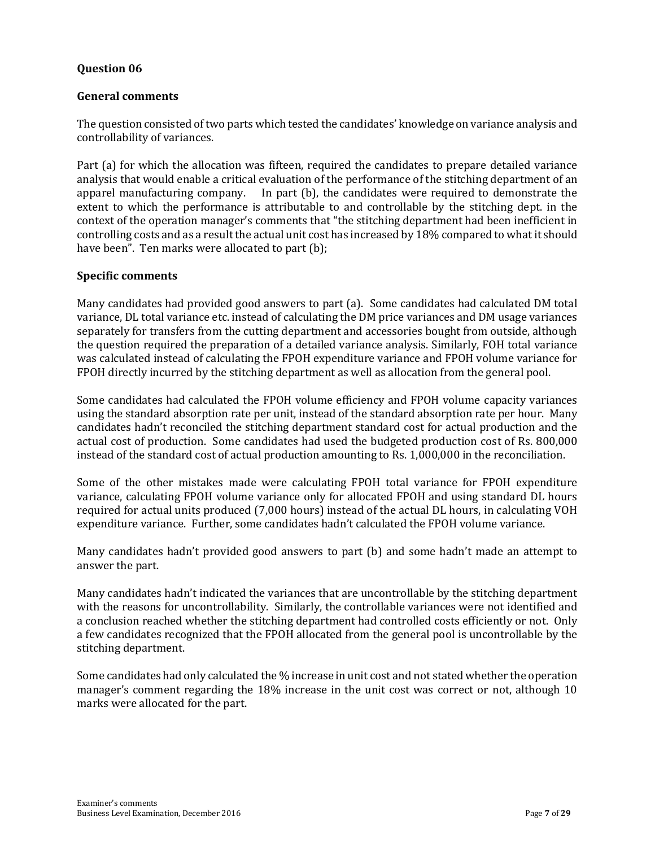#### **General comments**

The question consisted of two parts which tested the candidates' knowledge on variance analysis and controllability of variances.

Part (a) for which the allocation was fifteen, required the candidates to prepare detailed variance analysis that would enable a critical evaluation of the performance of the stitching department of an apparel manufacturing company. In part (b), the candidates were required to demonstrate the extent to which the performance is attributable to and controllable by the stitching dept. in the context of the operation manager's comments that "the stitching department had been inefficient in controlling costs and as a result the actual unit cost has increased by 18% compared to what it should have been". Ten marks were allocated to part (b):

#### **Specific comments**

Many candidates had provided good answers to part (a). Some candidates had calculated DM total variance, DL total variance etc. instead of calculating the DM price variances and DM usage variances separately for transfers from the cutting department and accessories bought from outside, although the question required the preparation of a detailed variance analysis. Similarly, FOH total variance was calculated instead of calculating the FPOH expenditure variance and FPOH volume variance for FPOH directly incurred by the stitching department as well as allocation from the general pool.

Some candidates had calculated the FPOH volume efficiency and FPOH volume capacity variances using the standard absorption rate per unit, instead of the standard absorption rate per hour. Many candidates hadn't reconciled the stitching department standard cost for actual production and the actual cost of production. Some candidates had used the budgeted production cost of Rs. 800,000 instead of the standard cost of actual production amounting to Rs. 1,000,000 in the reconciliation.

Some of the other mistakes made were calculating FPOH total variance for FPOH expenditure variance, calculating FPOH volume variance only for allocated FPOH and using standard DL hours required for actual units produced (7,000 hours) instead of the actual DL hours, in calculating VOH expenditure variance. Further, some candidates hadn't calculated the FPOH volume variance.

Many candidates hadn't provided good answers to part (b) and some hadn't made an attempt to answer the part.

Many candidates hadn't indicated the variances that are uncontrollable by the stitching department with the reasons for uncontrollability. Similarly, the controllable variances were not identified and a conclusion reached whether the stitching department had controlled costs efficiently or not. Only a few candidates recognized that the FPOH allocated from the general pool is uncontrollable by the stitching department.

Some candidates had only calculated the % increase in unit cost and not stated whether the operation manager's comment regarding the 18% increase in the unit cost was correct or not, although 10 marks were allocated for the part.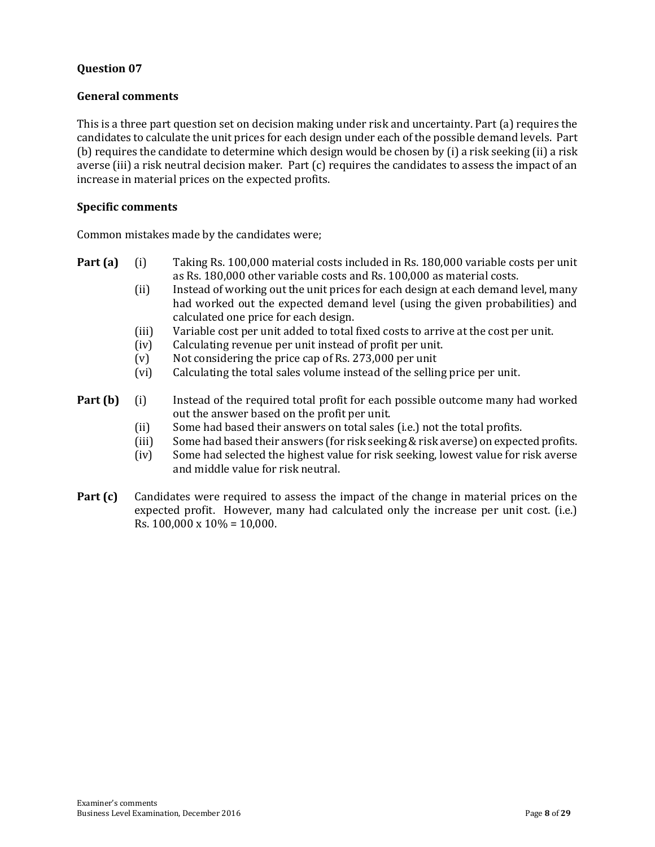#### **General comments**

This is a three part question set on decision making under risk and uncertainty. Part (a) requires the candidates to calculate the unit prices for each design under each of the possible demand levels. Part (b) requires the candidate to determine which design would be chosen by (i) a risk seeking (ii) a risk averse (iii) a risk neutral decision maker. Part (c) requires the candidates to assess the impact of an increase in material prices on the expected profits.

#### **Specific comments**

Common mistakes made by the candidates were;

- **Part (a)** (i) Taking Rs. 100,000 material costs included in Rs. 180,000 variable costs per unit as Rs. 180,000 other variable costs and Rs. 100,000 as material costs.
	- (ii) Instead of working out the unit prices for each design at each demand level, many had worked out the expected demand level (using the given probabilities) and calculated one price for each design.
	- (iii) Variable cost per unit added to total fixed costs to arrive at the cost per unit.
	- (iv) Calculating revenue per unit instead of profit per unit.
	- (v) Not considering the price cap of Rs. 273,000 per unit
	- (vi) Calculating the total sales volume instead of the selling price per unit.
- **Part (b)** (i) Instead of the required total profit for each possible outcome many had worked out the answer based on the profit per unit.
	- (ii) Some had based their answers on total sales (i.e.) not the total profits.
	- (iii) Some had based their answers (for risk seeking& risk averse) on expected profits.
	- (iv) Some had selected the highest value for risk seeking, lowest value for risk averse and middle value for risk neutral.
- **Part (c)** Candidates were required to assess the impact of the change in material prices on the expected profit. However, many had calculated only the increase per unit cost. (i.e.) Rs.  $100,000 \times 10\% = 10,000$ .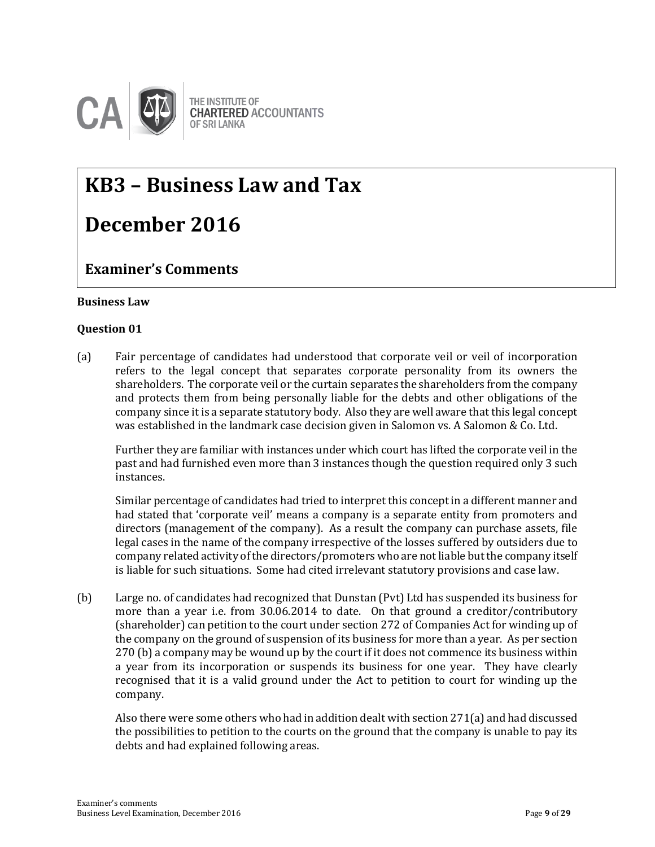

# **KB3 – Business Law and Tax**

## **December 2016**

#### **Question-wise comments Examiner's Comments**

#### **Business Law**

#### **Question 01**

(a) Fair percentage of candidates had understood that corporate veil or veil of incorporation refers to the legal concept that separates corporate personality from its owners the shareholders. The corporate veil or the curtain separates the shareholders from the company and protects them from being personally liable for the debts and other obligations of the company since it is a separate statutory body. Also they are well aware that this legal concept was established in the landmark case decision given in Salomon vs. A Salomon & Co. Ltd.

Further they are familiar with instances under which court has lifted the corporate veil in the past and had furnished even more than 3 instances though the question required only 3 such instances.

Similar percentage of candidates had tried to interpret this concept in a different manner and had stated that 'corporate veil' means a company is a separate entity from promoters and directors (management of the company). As a result the company can purchase assets, file legal cases in the name of the company irrespective of the losses suffered by outsiders due to company related activity of the directors/promoters who are not liable but the company itself is liable for such situations. Some had cited irrelevant statutory provisions and case law.

(b) Large no. of candidates had recognized that Dunstan (Pvt) Ltd has suspended its business for more than a year i.e. from 30.06.2014 to date. On that ground a creditor/contributory (shareholder) can petition to the court under section 272 of Companies Act for winding up of the company on the ground of suspension of its business for more than a year. As per section 270 (b) a company may be wound up by the court if it does not commence its business within a year from its incorporation or suspends its business for one year. They have clearly recognised that it is a valid ground under the Act to petition to court for winding up the company.

Also there were some others who had in addition dealt with section 271(a) and had discussed the possibilities to petition to the courts on the ground that the company is unable to pay its debts and had explained following areas.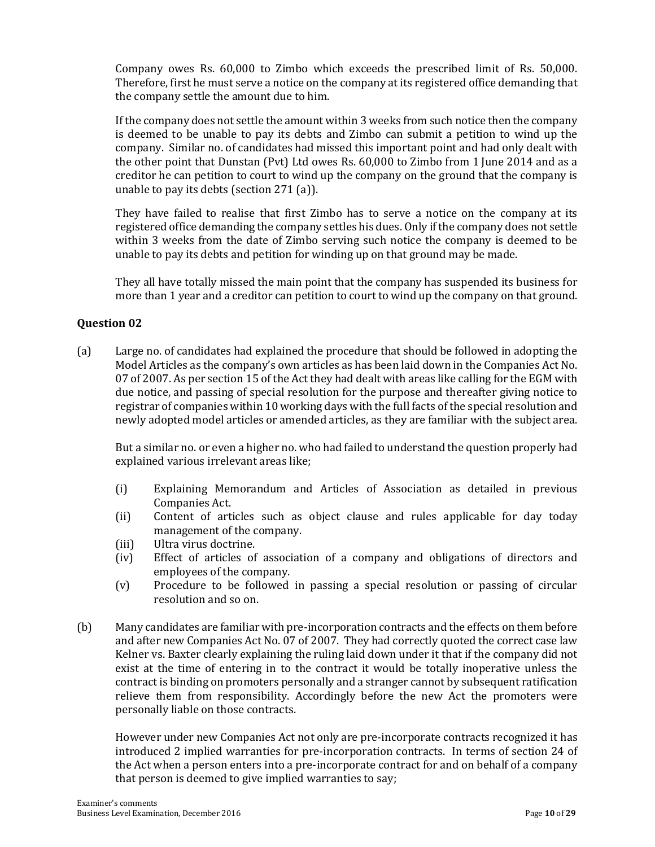Company owes Rs. 60,000 to Zimbo which exceeds the prescribed limit of Rs. 50,000. Therefore, first he must serve a notice on the company at its registered office demanding that the company settle the amount due to him.

If the company does not settle the amount within 3 weeks from such notice then the company is deemed to be unable to pay its debts and Zimbo can submit a petition to wind up the company. Similar no. of candidates had missed this important point and had only dealt with the other point that Dunstan (Pvt) Ltd owes Rs. 60,000 to Zimbo from 1 June 2014 and as a creditor he can petition to court to wind up the company on the ground that the company is unable to pay its debts (section 271 (a)).

They have failed to realise that first Zimbo has to serve a notice on the company at its registered office demanding the company settles his dues. Only if the company does not settle within 3 weeks from the date of Zimbo serving such notice the company is deemed to be unable to pay its debts and petition for winding up on that ground may be made.

They all have totally missed the main point that the company has suspended its business for more than 1 year and a creditor can petition to court to wind up the company on that ground.

#### **Question 02**

(a) Large no. of candidates had explained the procedure that should be followed in adopting the Model Articles as the company's own articles as has been laid down in the Companies Act No. 07 of 2007. As per section 15 of the Act they had dealt with areas like calling for the EGM with due notice, and passing of special resolution for the purpose and thereafter giving notice to registrar of companies within 10 working days with the full facts of the special resolution and newly adopted model articles or amended articles, as they are familiar with the subject area.

But a similar no. or even a higher no. who had failed to understand the question properly had explained various irrelevant areas like;

- (i) Explaining Memorandum and Articles of Association as detailed in previous Companies Act.
- (ii) Content of articles such as object clause and rules applicable for day today management of the company.
- (iii) Ultra virus doctrine.
- (iv) Effect of articles of association of a company and obligations of directors and employees of the company.
- (v) Procedure to be followed in passing a special resolution or passing of circular resolution and so on.
- (b) Many candidates are familiar with pre-incorporation contracts and the effects on them before and after new Companies Act No. 07 of 2007. They had correctly quoted the correct case law Kelner vs. Baxter clearly explaining the ruling laid down under it that if the company did not exist at the time of entering in to the contract it would be totally inoperative unless the contract is binding on promoters personally and a stranger cannot by subsequent ratification relieve them from responsibility. Accordingly before the new Act the promoters were personally liable on those contracts.

However under new Companies Act not only are pre-incorporate contracts recognized it has introduced 2 implied warranties for pre-incorporation contracts. In terms of section 24 of the Act when a person enters into a pre-incorporate contract for and on behalf of a company that person is deemed to give implied warranties to say;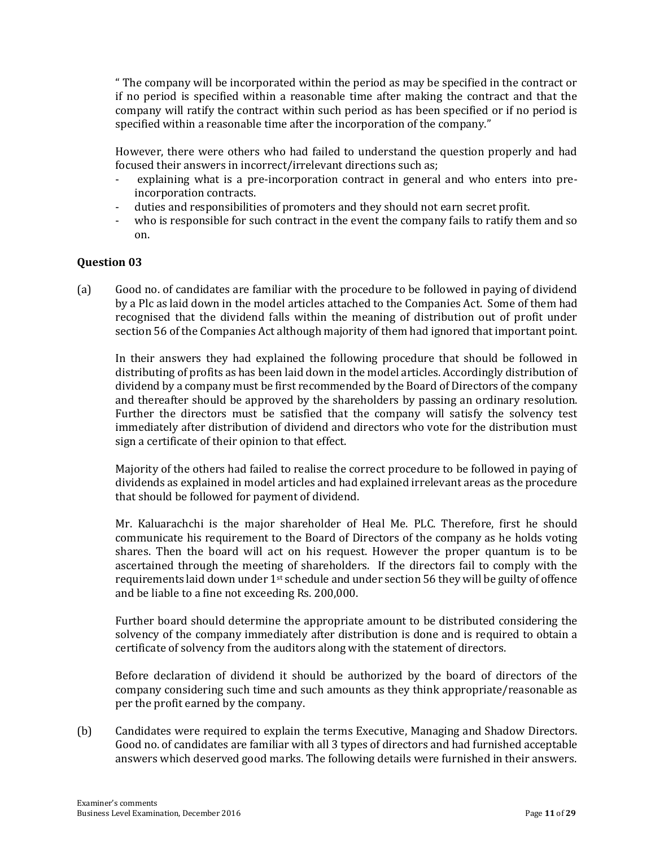" The company will be incorporated within the period as may be specified in the contract or if no period is specified within a reasonable time after making the contract and that the company will ratify the contract within such period as has been specified or if no period is specified within a reasonable time after the incorporation of the company."

However, there were others who had failed to understand the question properly and had focused their answers in incorrect/irrelevant directions such as;

- explaining what is a pre-incorporation contract in general and who enters into preincorporation contracts.
- duties and responsibilities of promoters and they should not earn secret profit.
- who is responsible for such contract in the event the company fails to ratify them and so on.

#### **Question 03**

(a) Good no. of candidates are familiar with the procedure to be followed in paying of dividend by a Plc as laid down in the model articles attached to the Companies Act. Some of them had recognised that the dividend falls within the meaning of distribution out of profit under section 56 of the Companies Act although majority of them had ignored that important point.

In their answers they had explained the following procedure that should be followed in distributing of profits as has been laid down in the model articles. Accordingly distribution of dividend by a company must be first recommended by the Board of Directors of the company and thereafter should be approved by the shareholders by passing an ordinary resolution. Further the directors must be satisfied that the company will satisfy the solvency test immediately after distribution of dividend and directors who vote for the distribution must sign a certificate of their opinion to that effect.

Majority of the others had failed to realise the correct procedure to be followed in paying of dividends as explained in model articles and had explained irrelevant areas as the procedure that should be followed for payment of dividend.

Mr. Kaluarachchi is the major shareholder of Heal Me. PLC. Therefore, first he should communicate his requirement to the Board of Directors of the company as he holds voting shares. Then the board will act on his request. However the proper quantum is to be ascertained through the meeting of shareholders. If the directors fail to comply with the requirements laid down under  $1<sup>st</sup>$  schedule and under section 56 they will be guilty of offence and be liable to a fine not exceeding Rs. 200,000.

Further board should determine the appropriate amount to be distributed considering the solvency of the company immediately after distribution is done and is required to obtain a certificate of solvency from the auditors along with the statement of directors.

Before declaration of dividend it should be authorized by the board of directors of the company considering such time and such amounts as they think appropriate/reasonable as per the profit earned by the company.

(b) Candidates were required to explain the terms Executive, Managing and Shadow Directors. Good no. of candidates are familiar with all 3 types of directors and had furnished acceptable answers which deserved good marks. The following details were furnished in their answers.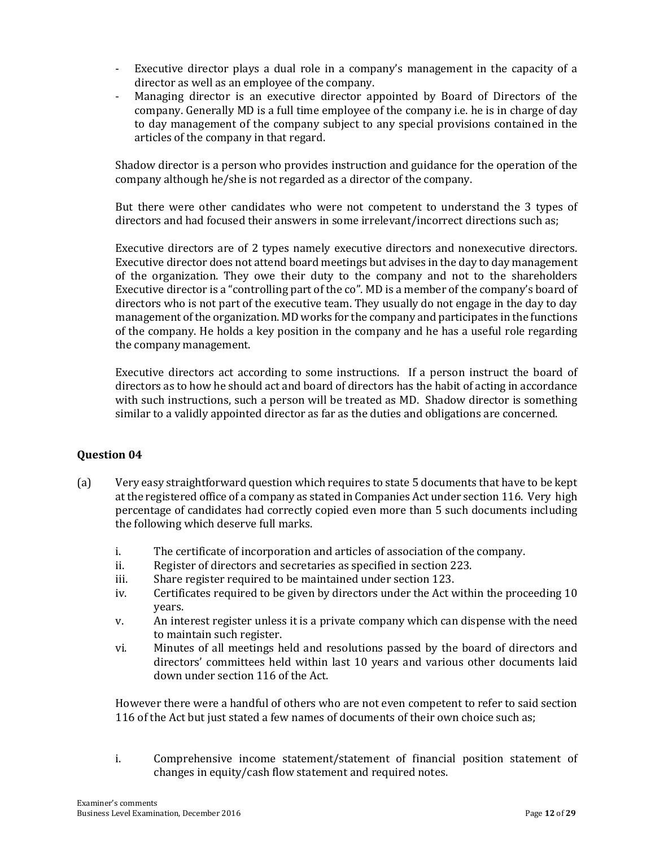- Executive director plays a dual role in a company's management in the capacity of a director as well as an employee of the company.
- Managing director is an executive director appointed by Board of Directors of the company. Generally MD is a full time employee of the company i.e. he is in charge of day to day management of the company subject to any special provisions contained in the articles of the company in that regard.

Shadow director is a person who provides instruction and guidance for the operation of the company although he/she is not regarded as a director of the company.

But there were other candidates who were not competent to understand the 3 types of directors and had focused their answers in some irrelevant/incorrect directions such as;

Executive directors are of 2 types namely executive directors and nonexecutive directors. Executive director does not attend board meetings but advises in the day to day management of the organization. They owe their duty to the company and not to the shareholders Executive director is a "controlling part of the co". MD is a member of the company's board of directors who is not part of the executive team. They usually do not engage in the day to day management of the organization. MD works for the company and participates in the functions of the company. He holds a key position in the company and he has a useful role regarding the company management.

Executive directors act according to some instructions. If a person instruct the board of directors as to how he should act and board of directors has the habit of acting in accordance with such instructions, such a person will be treated as MD. Shadow director is something similar to a validly appointed director as far as the duties and obligations are concerned.

#### **Question 04**

- (a) Very easy straightforward question which requires to state 5 documents that have to be kept at the registered office of a company as stated in Companies Act under section 116. Very high percentage of candidates had correctly copied even more than 5 such documents including the following which deserve full marks.
	- i. The certificate of incorporation and articles of association of the company.
	- ii. Register of directors and secretaries as specified in section 223.
	- iii. Share register required to be maintained under section 123.
	- iv. Certificates required to be given by directors under the Act within the proceeding 10 years.
	- v. An interest register unless it is a private company which can dispense with the need to maintain such register.
	- vi. Minutes of all meetings held and resolutions passed by the board of directors and directors' committees held within last 10 years and various other documents laid down under section 116 of the Act.

However there were a handful of others who are not even competent to refer to said section 116 of the Act but just stated a few names of documents of their own choice such as;

i. Comprehensive income statement/statement of financial position statement of changes in equity/cash flow statement and required notes.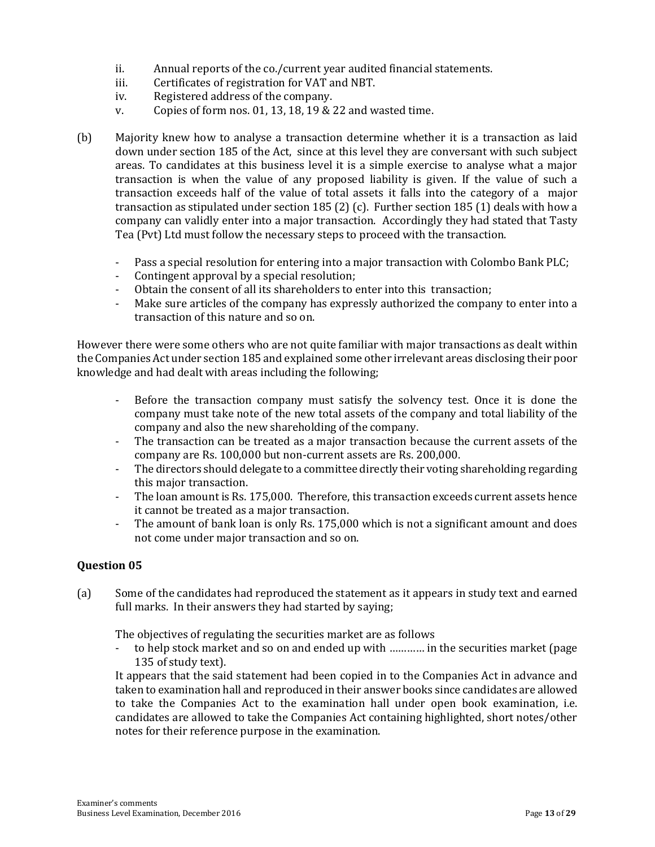- ii. Annual reports of the co./current year audited financial statements.
- iii. Certificates of registration for VAT and NBT.
- iv. Registered address of the company.
- v. Copies of form nos. 01, 13, 18, 19 & 22 and wasted time.
- (b) Majority knew how to analyse a transaction determine whether it is a transaction as laid down under section 185 of the Act, since at this level they are conversant with such subject areas. To candidates at this business level it is a simple exercise to analyse what a major transaction is when the value of any proposed liability is given. If the value of such a transaction exceeds half of the value of total assets it falls into the category of a major transaction as stipulated under section 185 (2) (c). Further section 185 (1) deals with how a company can validly enter into a major transaction. Accordingly they had stated that Tasty Tea (Pvt) Ltd must follow the necessary steps to proceed with the transaction.
	- Pass a special resolution for entering into a major transaction with Colombo Bank PLC;
	- Contingent approval by a special resolution;
	- Obtain the consent of all its shareholders to enter into this transaction;
	- Make sure articles of the company has expressly authorized the company to enter into a transaction of this nature and so on.

However there were some others who are not quite familiar with major transactions as dealt within the Companies Act under section 185 and explained some other irrelevant areas disclosing their poor knowledge and had dealt with areas including the following;

- Before the transaction company must satisfy the solvency test. Once it is done the company must take note of the new total assets of the company and total liability of the company and also the new shareholding of the company.
- The transaction can be treated as a major transaction because the current assets of the company are Rs. 100,000 but non-current assets are Rs. 200,000.
- The directors should delegate to a committee directly their voting shareholding regarding this major transaction.
- The loan amount is Rs. 175,000. Therefore, this transaction exceeds current assets hence it cannot be treated as a major transaction.
- The amount of bank loan is only Rs. 175,000 which is not a significant amount and does not come under major transaction and so on.

#### **Question 05**

(a) Some of the candidates had reproduced the statement as it appears in study text and earned full marks. In their answers they had started by saying;

The objectives of regulating the securities market are as follows

to help stock market and so on and ended up with ………… in the securities market (page 135 of study text).

It appears that the said statement had been copied in to the Companies Act in advance and taken to examination hall and reproduced in their answer books since candidates are allowed to take the Companies Act to the examination hall under open book examination, i.e. candidates are allowed to take the Companies Act containing highlighted, short notes/other notes for their reference purpose in the examination.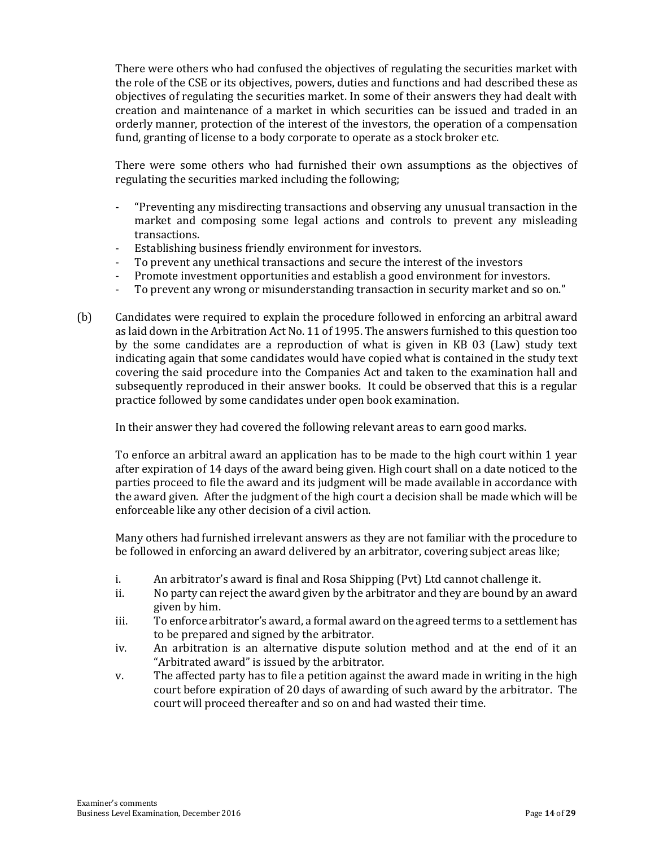There were others who had confused the objectives of regulating the securities market with the role of the CSE or its objectives, powers, duties and functions and had described these as objectives of regulating the securities market. In some of their answers they had dealt with creation and maintenance of a market in which securities can be issued and traded in an orderly manner, protection of the interest of the investors, the operation of a compensation fund, granting of license to a body corporate to operate as a stock broker etc.

There were some others who had furnished their own assumptions as the objectives of regulating the securities marked including the following;

- "Preventing any misdirecting transactions and observing any unusual transaction in the market and composing some legal actions and controls to prevent any misleading transactions.
- Establishing business friendly environment for investors.
- To prevent any unethical transactions and secure the interest of the investors
- Promote investment opportunities and establish a good environment for investors.
- To prevent any wrong or misunderstanding transaction in security market and so on."
- (b) Candidates were required to explain the procedure followed in enforcing an arbitral award as laid down in the Arbitration Act No. 11 of 1995. The answers furnished to this question too by the some candidates are a reproduction of what is given in KB 03 (Law) study text indicating again that some candidates would have copied what is contained in the study text covering the said procedure into the Companies Act and taken to the examination hall and subsequently reproduced in their answer books. It could be observed that this is a regular practice followed by some candidates under open book examination.

In their answer they had covered the following relevant areas to earn good marks.

To enforce an arbitral award an application has to be made to the high court within 1 year after expiration of 14 days of the award being given. High court shall on a date noticed to the parties proceed to file the award and its judgment will be made available in accordance with the award given. After the judgment of the high court a decision shall be made which will be enforceable like any other decision of a civil action.

Many others had furnished irrelevant answers as they are not familiar with the procedure to be followed in enforcing an award delivered by an arbitrator, covering subject areas like;

- i. An arbitrator's award is final and Rosa Shipping (Pvt) Ltd cannot challenge it.
- ii. No party can reject the award given by the arbitrator and they are bound by an award given by him.
- iii. To enforce arbitrator's award, a formal award on the agreed terms to a settlement has to be prepared and signed by the arbitrator.
- iv. An arbitration is an alternative dispute solution method and at the end of it an "Arbitrated award" is issued by the arbitrator.
- v. The affected party has to file a petition against the award made in writing in the high court before expiration of 20 days of awarding of such award by the arbitrator. The court will proceed thereafter and so on and had wasted their time.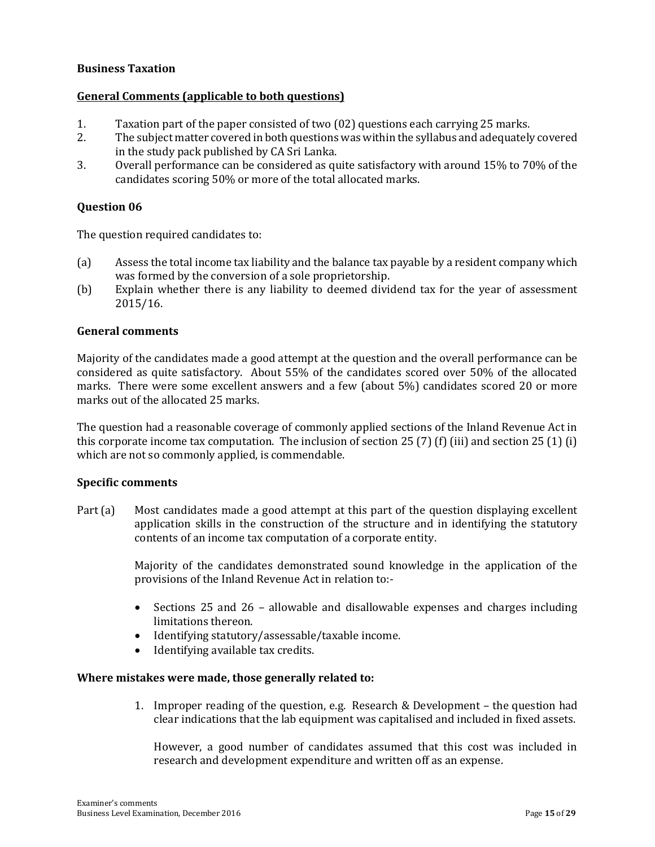#### **Business Taxation**

#### **General Comments (applicable to both questions)**

- 1. Taxation part of the paper consisted of two (02) questions each carrying 25 marks.
- 2. The subject matter covered in both questions was within the syllabus and adequately covered in the study pack published by CA Sri Lanka.
- 3. Overall performance can be considered as quite satisfactory with around 15% to 70% of the candidates scoring 50% or more of the total allocated marks.

#### **Question 06**

The question required candidates to:

- (a) Assess the total income tax liability and the balance tax payable by a resident company which was formed by the conversion of a sole proprietorship.
- (b) Explain whether there is any liability to deemed dividend tax for the year of assessment 2015/16.

#### **General comments**

Majority of the candidates made a good attempt at the question and the overall performance can be considered as quite satisfactory. About 55% of the candidates scored over 50% of the allocated marks. There were some excellent answers and a few (about 5%) candidates scored 20 or more marks out of the allocated 25 marks.

The question had a reasonable coverage of commonly applied sections of the Inland Revenue Act in this corporate income tax computation. The inclusion of section 25 (7) (f) (iii) and section 25 (1) (i) which are not so commonly applied, is commendable.

#### **Specific comments**

Part (a) Most candidates made a good attempt at this part of the question displaying excellent application skills in the construction of the structure and in identifying the statutory contents of an income tax computation of a corporate entity.

> Majority of the candidates demonstrated sound knowledge in the application of the provisions of the Inland Revenue Act in relation to:-

- Sections 25 and 26 allowable and disallowable expenses and charges including limitations thereon.
- Identifying statutory/assessable/taxable income.
- Identifying available tax credits.

#### **Where mistakes were made, those generally related to:**

1. Improper reading of the question, e.g. Research & Development – the question had clear indications that the lab equipment was capitalised and included in fixed assets.

However, a good number of candidates assumed that this cost was included in research and development expenditure and written off as an expense.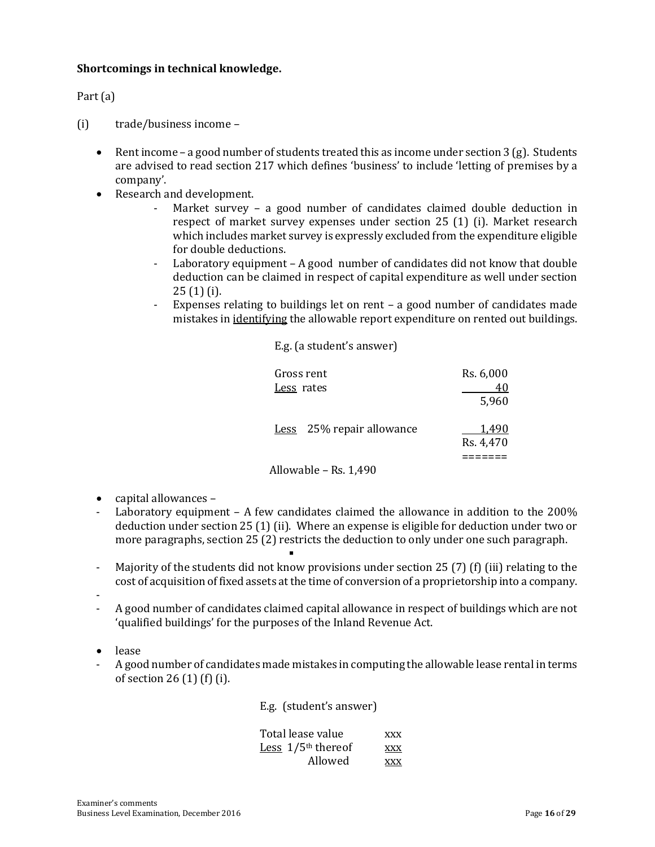#### **Shortcomings in technical knowledge.**

Part (a)

- (i) trade/business income
	- **•** Rent income a good number of students treated this as income under section 3 (g). Students are advised to read section 217 which defines 'business' to include 'letting of premises by a company'.
	- Research and development.
		- Market survey a good number of candidates claimed double deduction in respect of market survey expenses under section 25 (1) (i). Market research which includes market survey is expressly excluded from the expenditure eligible for double deductions.
		- Laboratory equipment A good number of candidates did not know that double deduction can be claimed in respect of capital expenditure as well under section 25 (1) (i).
		- Expenses relating to buildings let on rent  $-$  a good number of candidates made mistakes in identifying the allowable report expenditure on rented out buildings.

E.g. (a student's answer)

| Gross rent<br>Less rates |                           | Rs. 6,000<br>40<br>5,960 |
|--------------------------|---------------------------|--------------------------|
|                          | Less 25% repair allowance | 1.490<br>Rs. 4,470       |
| Allowable – Rs. 1,490    |                           |                          |

- capital allowances -
- Laboratory equipment A few candidates claimed the allowance in addition to the  $200\%$ deduction under section 25 (1) (ii). Where an expense is eligible for deduction under two or more paragraphs, section 25 (2) restricts the deduction to only under one such paragraph.
- . - Majority of the students did not know provisions under section 25 (7) (f) (iii) relating to the cost of acquisition of fixed assets at the time of conversion of a proprietorship into a company.
- -
- A good number of candidates claimed capital allowance in respect of buildings which are not 'qualified buildings' for the purposes of the Inland Revenue Act.
- lease
- A good number of candidates made mistakes in computing the allowable lease rental in terms of section 26 (1) (f) (i).

E.g. (student's answer)

| Total lease value                | <b>XXX</b> |
|----------------------------------|------------|
| Less $1/5$ <sup>th</sup> thereof | <b>XXX</b> |
| Allowed                          | <b>XXX</b> |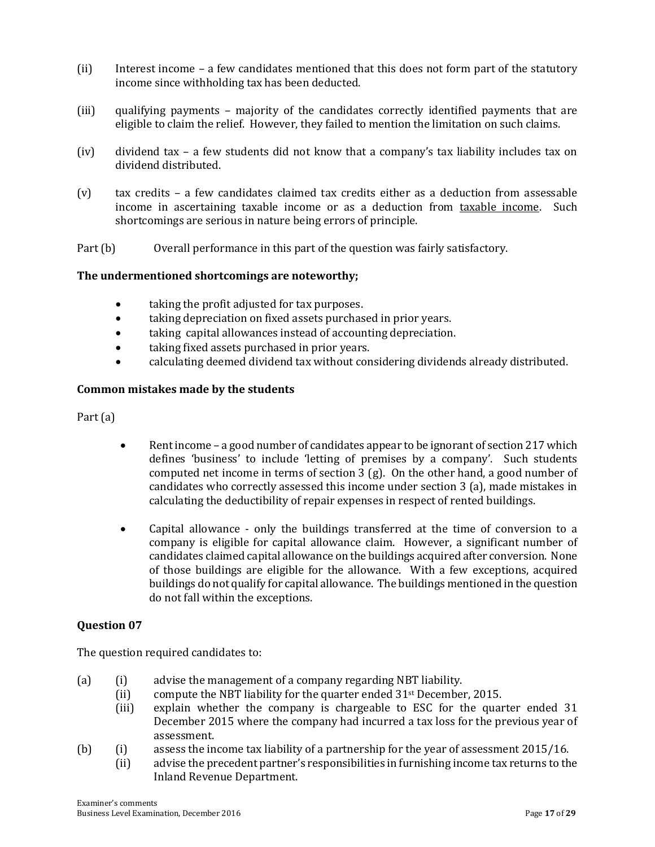- (ii) Interest income a few candidates mentioned that this does not form part of the statutory income since withholding tax has been deducted.
- (iii) qualifying payments majority of the candidates correctly identified payments that are eligible to claim the relief. However, they failed to mention the limitation on such claims.
- (iv) dividend tax a few students did not know that a company's tax liability includes tax on dividend distributed.
- (v) tax credits a few candidates claimed tax credits either as a deduction from assessable income in ascertaining taxable income or as a deduction from taxable income. Such shortcomings are serious in nature being errors of principle.
- Part (b) Overall performance in this part of the question was fairly satisfactory.

#### **The undermentioned shortcomings are noteworthy;**

- taking the profit adjusted for tax purposes.
- taking depreciation on fixed assets purchased in prior years.
- taking capital allowances instead of accounting depreciation.
- taking fixed assets purchased in prior years.
- calculating deemed dividend tax without considering dividends already distributed.

#### **Common mistakes made by the students**

Part (a)

- Rent income a good number of candidates appear to be ignorant of section 217 which defines 'business' to include 'letting of premises by a company'. Such students computed net income in terms of section 3 (g). On the other hand, a good number of candidates who correctly assessed this income under section 3 (a), made mistakes in calculating the deductibility of repair expenses in respect of rented buildings.
- Capital allowance only the buildings transferred at the time of conversion to a company is eligible for capital allowance claim. However, a significant number of candidates claimed capital allowance on the buildings acquired after conversion. None of those buildings are eligible for the allowance. With a few exceptions, acquired buildings do not qualify for capital allowance. The buildings mentioned in the question do not fall within the exceptions.

#### **Question 07**

The question required candidates to:

- (a) (i) advise the management of a company regarding NBT liability.
	- (ii) compute the NBT liability for the quarter ended 31st December, 2015.
		- (iii) explain whether the company is chargeable to ESC for the quarter ended 31 December 2015 where the company had incurred a tax loss for the previous year of assessment.
- (b) (i) assess the income tax liability of a partnership for the year of assessment 2015/16.
	- (ii) advise the precedent partner's responsibilities in furnishing income tax returns to the Inland Revenue Department.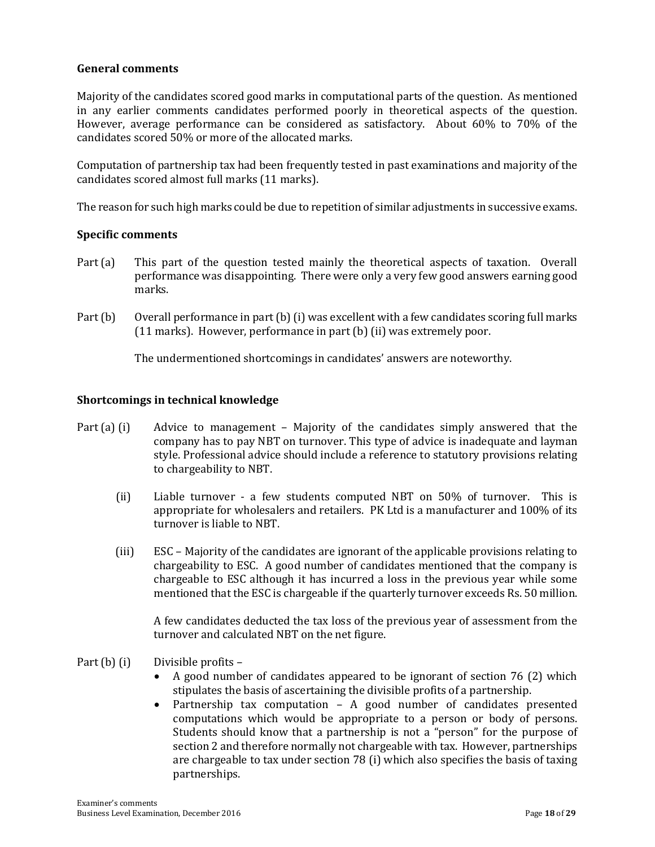#### **General comments**

Majority of the candidates scored good marks in computational parts of the question. As mentioned in any earlier comments candidates performed poorly in theoretical aspects of the question. However, average performance can be considered as satisfactory. About 60% to 70% of the candidates scored 50% or more of the allocated marks.

Computation of partnership tax had been frequently tested in past examinations and majority of the candidates scored almost full marks (11 marks).

The reason for such high marks could be due to repetition of similar adjustments in successive exams.

#### **Specific comments**

- Part (a) This part of the question tested mainly the theoretical aspects of taxation. Overall performance was disappointing. There were only a very few good answers earning good marks.
- Part (b) Overall performance in part (b) (i) was excellent with a few candidates scoring full marks (11 marks). However, performance in part (b) (ii) was extremely poor.

The undermentioned shortcomings in candidates' answers are noteworthy.

#### **Shortcomings in technical knowledge**

- Part (a) (i) Advice to management Majority of the candidates simply answered that the company has to pay NBT on turnover. This type of advice is inadequate and layman style. Professional advice should include a reference to statutory provisions relating to chargeability to NBT.
	- (ii) Liable turnover a few students computed NBT on 50% of turnover. This is appropriate for wholesalers and retailers. PK Ltd is a manufacturer and 100% of its turnover is liable to NBT.
	- (iii) ESC Majority of the candidates are ignorant of the applicable provisions relating to chargeability to ESC. A good number of candidates mentioned that the company is chargeable to ESC although it has incurred a loss in the previous year while some mentioned that the ESC is chargeable if the quarterly turnover exceeds Rs. 50 million.

A few candidates deducted the tax loss of the previous year of assessment from the turnover and calculated NBT on the net figure.

#### Part (b) (i) Divisible profits –

- A good number of candidates appeared to be ignorant of section 76 (2) which stipulates the basis of ascertaining the divisible profits of a partnership.
- Partnership tax computation A good number of candidates presented computations which would be appropriate to a person or body of persons. Students should know that a partnership is not a "person" for the purpose of section 2 and therefore normally not chargeable with tax. However, partnerships are chargeable to tax under section 78 (i) which also specifies the basis of taxing partnerships.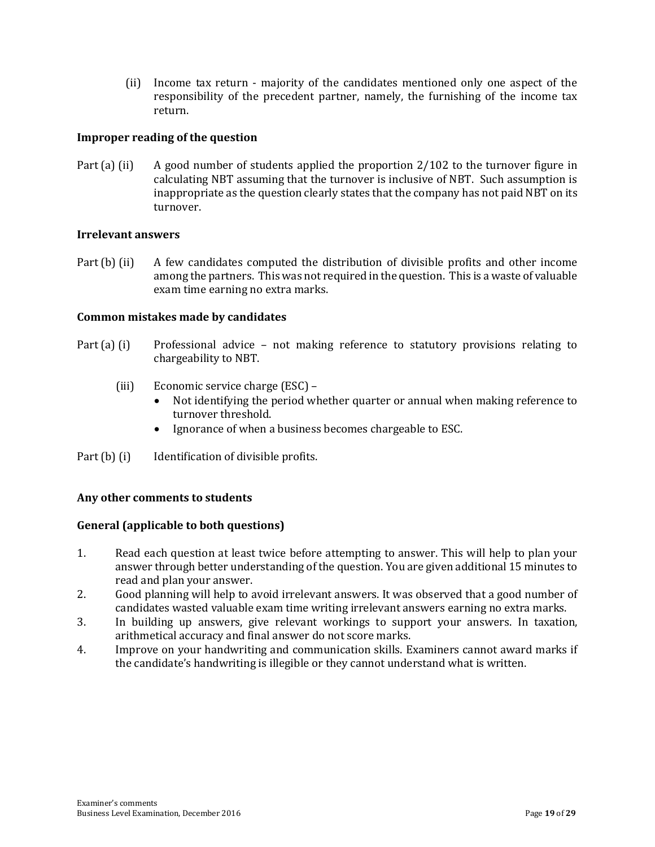(ii) Income tax return - majority of the candidates mentioned only one aspect of the responsibility of the precedent partner, namely, the furnishing of the income tax return.

#### **Improper reading of the question**

Part (a) (ii) A good number of students applied the proportion 2/102 to the turnover figure in calculating NBT assuming that the turnover is inclusive of NBT. Such assumption is inappropriate as the question clearly states that the company has not paid NBT on its turnover.

#### **Irrelevant answers**

Part (b) (ii) A few candidates computed the distribution of divisible profits and other income among the partners. This was not required in the question. This is a waste of valuable exam time earning no extra marks.

#### **Common mistakes made by candidates**

- Part (a) (i) Professional advice not making reference to statutory provisions relating to chargeability to NBT.
	- (iii) Economic service charge (ESC)
		- Not identifying the period whether quarter or annual when making reference to turnover threshold.
		- Ignorance of when a business becomes chargeable to ESC.
- Part (b) (i) Identification of divisible profits.

#### **Any other comments to students**

#### **General (applicable to both questions)**

- 1. Read each question at least twice before attempting to answer. This will help to plan your answer through better understanding of the question. You are given additional 15 minutes to read and plan your answer.
- 2. Good planning will help to avoid irrelevant answers. It was observed that a good number of candidates wasted valuable exam time writing irrelevant answers earning no extra marks.
- 3. In building up answers, give relevant workings to support your answers. In taxation, arithmetical accuracy and final answer do not score marks.
- 4. Improve on your handwriting and communication skills. Examiners cannot award marks if the candidate's handwriting is illegible or they cannot understand what is written.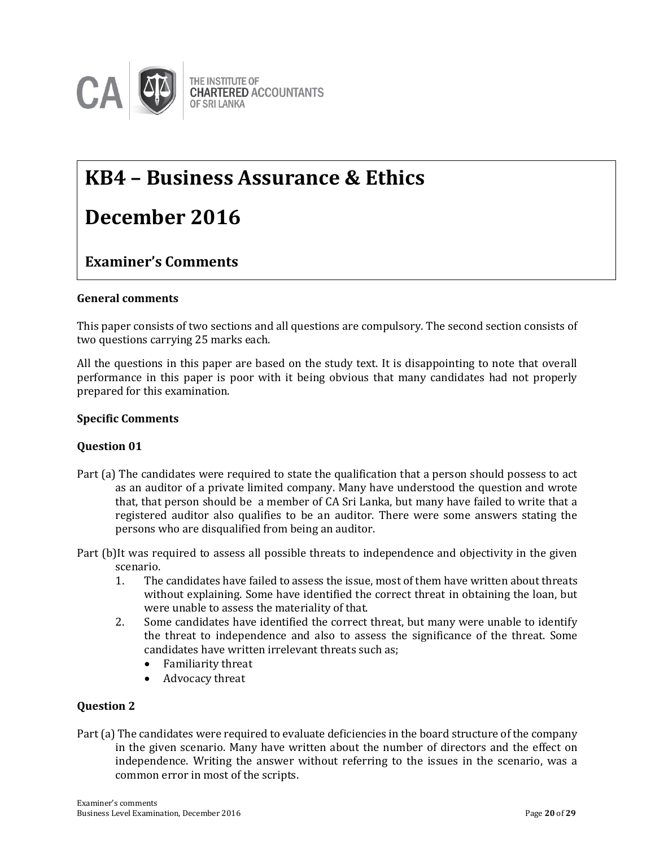

# **KB4 – Business Assurance & Ethics December 2016**

#### **Question-wise comments Examiner's Comments**

#### **General comments**

This paper consists of two sections and all questions are compulsory. The second section consists of two questions carrying 25 marks each.

All the questions in this paper are based on the study text. It is disappointing to note that overall performance in this paper is poor with it being obvious that many candidates had not properly prepared for this examination.

#### **Specific Comments**

#### **Question 01**

- Part (a) The candidates were required to state the qualification that a person should possess to act as an auditor of a private limited company. Many have understood the question and wrote that, that person should be a member of CA Sri Lanka, but many have failed to write that a registered auditor also qualifies to be an auditor. There were some answers stating the persons who are disqualified from being an auditor.
- Part (b)It was required to assess all possible threats to independence and objectivity in the given scenario.
	- 1. The candidates have failed to assess the issue, most of them have written about threats without explaining. Some have identified the correct threat in obtaining the loan, but were unable to assess the materiality of that.
	- 2. Some candidates have identified the correct threat, but many were unable to identify the threat to independence and also to assess the significance of the threat. Some candidates have written irrelevant threats such as;
		- Familiarity threat
		- Advocacy threat

#### **Question 2**

Part (a) The candidates were required to evaluate deficiencies in the board structure of the company in the given scenario. Many have written about the number of directors and the effect on independence. Writing the answer without referring to the issues in the scenario, was a common error in most of the scripts.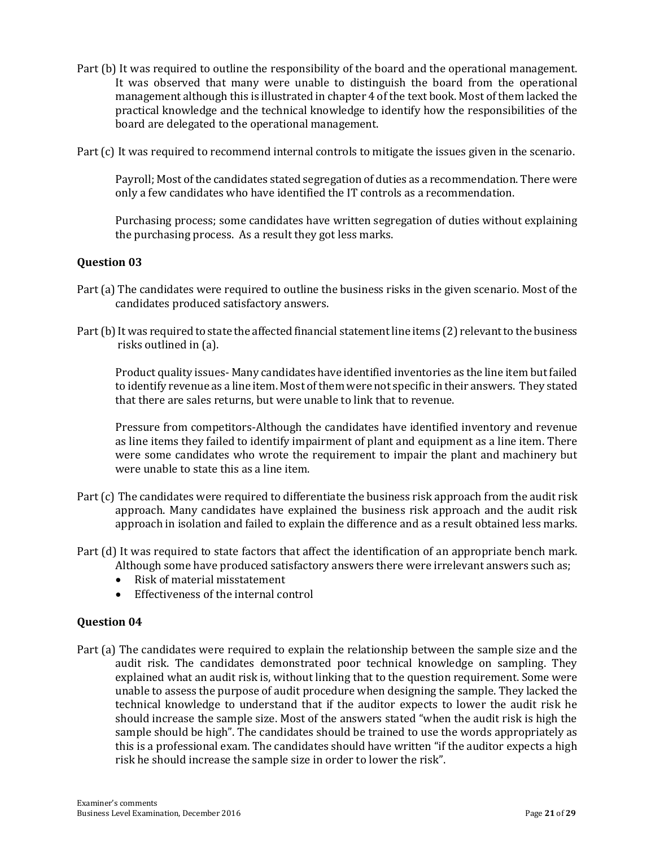Part (b) It was required to outline the responsibility of the board and the operational management. It was observed that many were unable to distinguish the board from the operational management although this is illustrated in chapter 4 of the text book. Most of them lacked the practical knowledge and the technical knowledge to identify how the responsibilities of the board are delegated to the operational management.

Part (c) It was required to recommend internal controls to mitigate the issues given in the scenario.

Payroll; Most of the candidates stated segregation of duties as a recommendation. There were only a few candidates who have identified the IT controls as a recommendation.

Purchasing process; some candidates have written segregation of duties without explaining the purchasing process. As a result they got less marks.

#### **Question 03**

- Part (a) The candidates were required to outline the business risks in the given scenario. Most of the candidates produced satisfactory answers.
- Part (b) It was required to state the affected financial statement line items (2) relevant to the business risks outlined in (a).

Product quality issues- Many candidates have identified inventories as the line item but failed to identify revenue as a line item. Most of them were not specific in their answers. They stated that there are sales returns, but were unable to link that to revenue.

Pressure from competitors-Although the candidates have identified inventory and revenue as line items they failed to identify impairment of plant and equipment as a line item. There were some candidates who wrote the requirement to impair the plant and machinery but were unable to state this as a line item.

- Part (c) The candidates were required to differentiate the business risk approach from the audit risk approach. Many candidates have explained the business risk approach and the audit risk approach in isolation and failed to explain the difference and as a result obtained less marks.
- Part (d) It was required to state factors that affect the identification of an appropriate bench mark. Although some have produced satisfactory answers there were irrelevant answers such as;
	- Risk of material misstatement
	- Effectiveness of the internal control

#### **Question 04**

Part (a) The candidates were required to explain the relationship between the sample size and the audit risk. The candidates demonstrated poor technical knowledge on sampling. They explained what an audit risk is, without linking that to the question requirement. Some were unable to assess the purpose of audit procedure when designing the sample. They lacked the technical knowledge to understand that if the auditor expects to lower the audit risk he should increase the sample size. Most of the answers stated "when the audit risk is high the sample should be high". The candidates should be trained to use the words appropriately as this is a professional exam. The candidates should have written "if the auditor expects a high risk he should increase the sample size in order to lower the risk".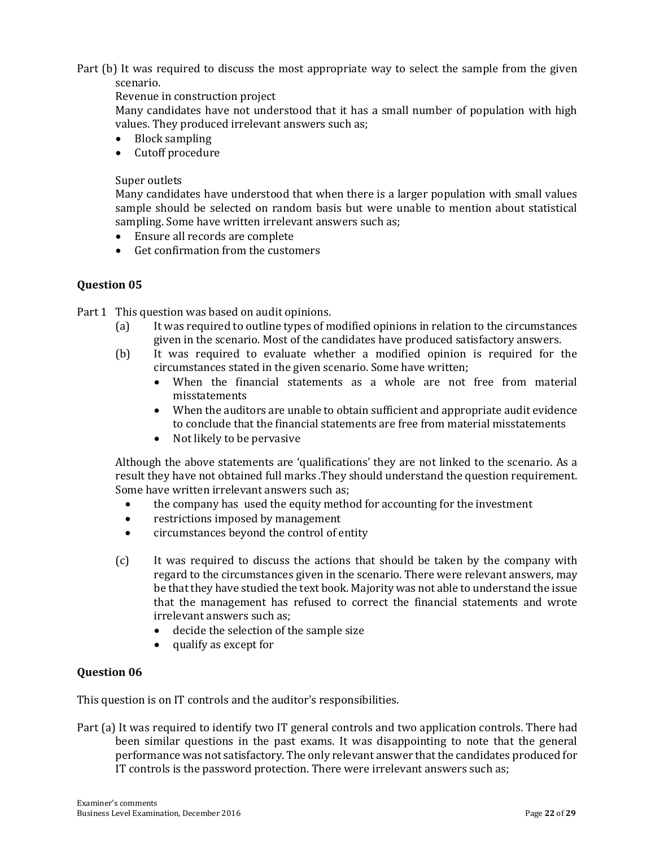Part (b) It was required to discuss the most appropriate way to select the sample from the given scenario.

Revenue in construction project

Many candidates have not understood that it has a small number of population with high values. They produced irrelevant answers such as;

- Block sampling
- Cutoff procedure

#### Super outlets

Many candidates have understood that when there is a larger population with small values sample should be selected on random basis but were unable to mention about statistical sampling. Some have written irrelevant answers such as;

- Ensure all records are complete
- Get confirmation from the customers

#### **Question 05**

Part 1 This question was based on audit opinions.

- (a) It was required to outline types of modified opinions in relation to the circumstances given in the scenario. Most of the candidates have produced satisfactory answers.
- (b) It was required to evaluate whether a modified opinion is required for the circumstances stated in the given scenario. Some have written;
	- When the financial statements as a whole are not free from material misstatements
	- When the auditors are unable to obtain sufficient and appropriate audit evidence to conclude that the financial statements are free from material misstatements
	- Not likely to be pervasive

Although the above statements are 'qualifications' they are not linked to the scenario. As a result they have not obtained full marks .They should understand the question requirement. Some have written irrelevant answers such as;

- the company has used the equity method for accounting for the investment
- restrictions imposed by management
- circumstances beyond the control of entity
- (c) It was required to discuss the actions that should be taken by the company with regard to the circumstances given in the scenario. There were relevant answers, may be that they have studied the text book. Majority was not able to understand the issue that the management has refused to correct the financial statements and wrote irrelevant answers such as;
	- decide the selection of the sample size
	- qualify as except for

#### **Question 06**

This question is on IT controls and the auditor's responsibilities.

Part (a) It was required to identify two IT general controls and two application controls. There had been similar questions in the past exams. It was disappointing to note that the general performance was not satisfactory. The only relevant answer that the candidates produced for IT controls is the password protection. There were irrelevant answers such as;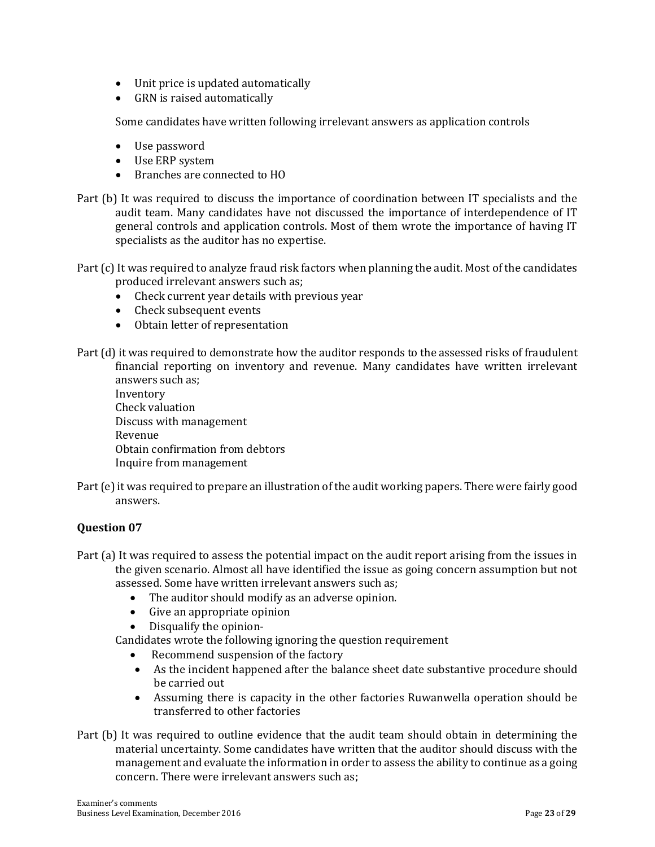- Unit price is updated automatically
- GRN is raised automatically

Some candidates have written following irrelevant answers as application controls

- Use password
- Use ERP system
- Branches are connected to HO
- Part (b) It was required to discuss the importance of coordination between IT specialists and the audit team. Many candidates have not discussed the importance of interdependence of IT general controls and application controls. Most of them wrote the importance of having IT specialists as the auditor has no expertise.
- Part (c) It was required to analyze fraud risk factors when planning the audit. Most of the candidates produced irrelevant answers such as;
	- Check current year details with previous year
	- Check subsequent events
	- Obtain letter of representation

Part (d) it was required to demonstrate how the auditor responds to the assessed risks of fraudulent financial reporting on inventory and revenue. Many candidates have written irrelevant

- answers such as; Inventory Check valuation Discuss with management Revenue Obtain confirmation from debtors Inquire from management
- Part (e) it was required to prepare an illustration of the audit working papers. There were fairly good answers.

#### **Question 07**

Part (a) It was required to assess the potential impact on the audit report arising from the issues in the given scenario. Almost all have identified the issue as going concern assumption but not assessed. Some have written irrelevant answers such as;

- The auditor should modify as an adverse opinion.
- Give an appropriate opinion
- Disqualify the opinion-

Candidates wrote the following ignoring the question requirement

- Recommend suspension of the factory
- As the incident happened after the balance sheet date substantive procedure should be carried out
- Assuming there is capacity in the other factories Ruwanwella operation should be transferred to other factories
- Part (b) It was required to outline evidence that the audit team should obtain in determining the material uncertainty. Some candidates have written that the auditor should discuss with the management and evaluate the information in order to assess the ability to continue as a going concern. There were irrelevant answers such as;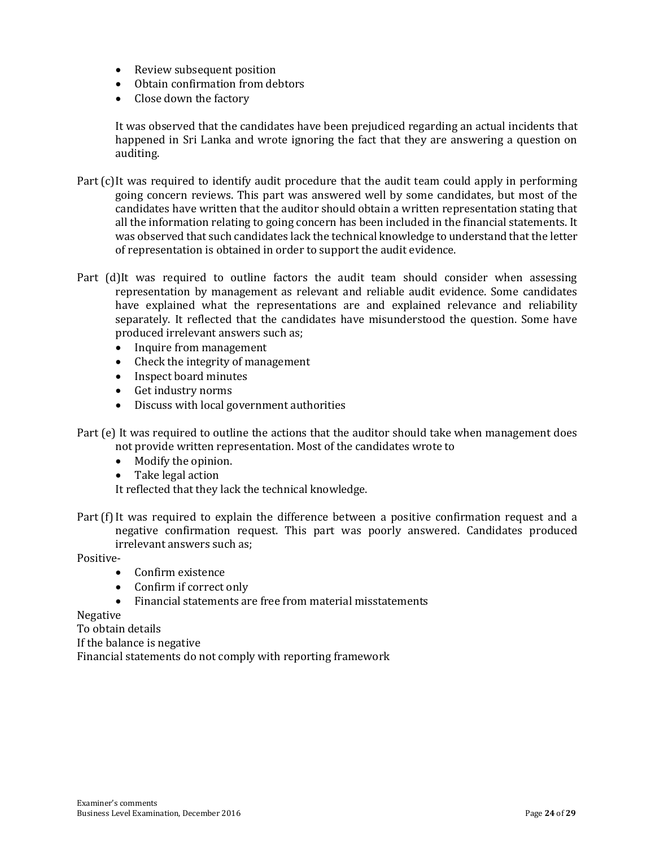- Review subsequent position
- Obtain confirmation from debtors
- Close down the factory

It was observed that the candidates have been prejudiced regarding an actual incidents that happened in Sri Lanka and wrote ignoring the fact that they are answering a question on auditing.

- Part (c)It was required to identify audit procedure that the audit team could apply in performing going concern reviews. This part was answered well by some candidates, but most of the candidates have written that the auditor should obtain a written representation stating that all the information relating to going concern has been included in the financial statements. It was observed that such candidates lack the technical knowledge to understand that the letter of representation is obtained in order to support the audit evidence.
- Part (d)It was required to outline factors the audit team should consider when assessing representation by management as relevant and reliable audit evidence. Some candidates have explained what the representations are and explained relevance and reliability separately. It reflected that the candidates have misunderstood the question. Some have produced irrelevant answers such as;
	- Inquire from management
	- Check the integrity of management
	- Inspect board minutes
	- Get industry norms
	- Discuss with local government authorities

Part (e) It was required to outline the actions that the auditor should take when management does not provide written representation. Most of the candidates wrote to

- Modify the opinion.
- Take legal action

It reflected that they lack the technical knowledge.

Part (f) It was required to explain the difference between a positive confirmation request and a negative confirmation request. This part was poorly answered. Candidates produced irrelevant answers such as;

Positive-

- Confirm existence
- Confirm if correct only
- Financial statements are free from material misstatements

Negative

To obtain details

If the balance is negative

Financial statements do not comply with reporting framework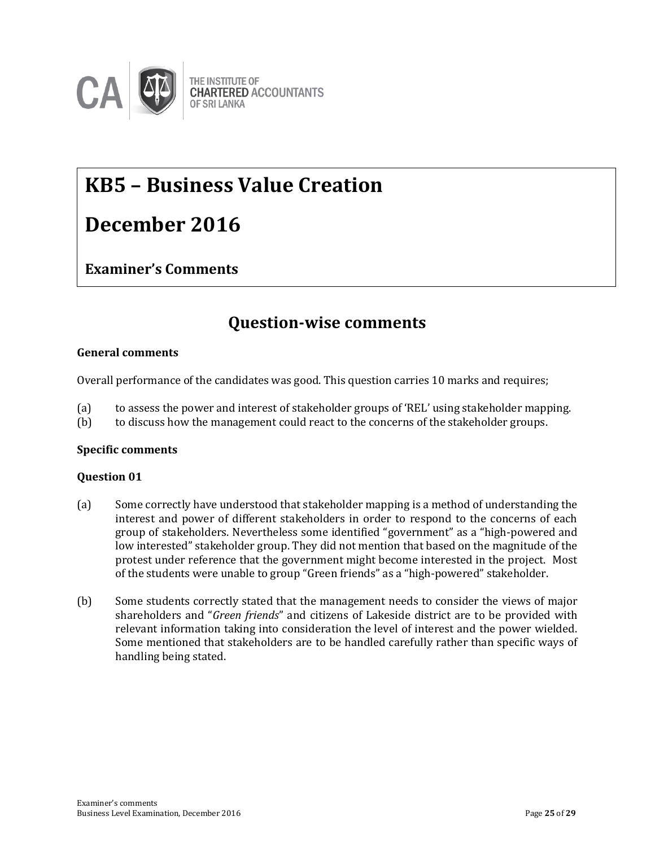

# **KB5 – Business Value Creation**

### **December 2016**

### **Examiner's Comments**

### **Question-wise comments**

#### **General comments**

Overall performance of the candidates was good. This question carries 10 marks and requires;

- (a) to assess the power and interest of stakeholder groups of 'REL' using stakeholder mapping.
- (b) to discuss how the management could react to the concerns of the stakeholder groups.

#### **Specific comments**

#### **Question 01**

- (a) Some correctly have understood that stakeholder mapping is a method of understanding the interest and power of different stakeholders in order to respond to the concerns of each group of stakeholders. Nevertheless some identified "government" as a "high-powered and low interested" stakeholder group. They did not mention that based on the magnitude of the protest under reference that the government might become interested in the project. Most of the students were unable to group "Green friends" as a "high-powered" stakeholder.
- (b) Some students correctly stated that the management needs to consider the views of major shareholders and "*Green friends*" and citizens of Lakeside district are to be provided with relevant information taking into consideration the level of interest and the power wielded. Some mentioned that stakeholders are to be handled carefully rather than specific ways of handling being stated.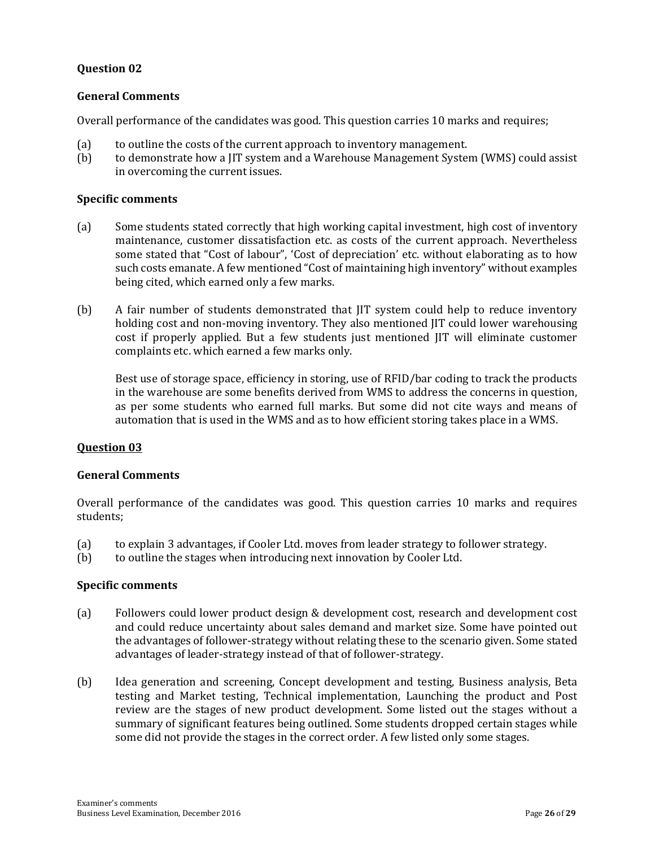#### **General Comments**

Overall performance of the candidates was good. This question carries 10 marks and requires;

- (a) to outline the costs of the current approach to inventory management.
- (b) to demonstrate how a JIT system and a Warehouse Management System (WMS) could assist in overcoming the current issues.

#### **Specific comments**

- (a) Some students stated correctly that high working capital investment, high cost of inventory maintenance, customer dissatisfaction etc. as costs of the current approach. Nevertheless some stated that "Cost of labour", 'Cost of depreciation' etc. without elaborating as to how such costs emanate. A few mentioned "Cost of maintaining high inventory" without examples being cited, which earned only a few marks.
- (b) A fair number of students demonstrated that JIT system could help to reduce inventory holding cost and non-moving inventory. They also mentioned JIT could lower warehousing cost if properly applied. But a few students just mentioned JIT will eliminate customer complaints etc. which earned a few marks only.

Best use of storage space, efficiency in storing, use of RFID/bar coding to track the products in the warehouse are some benefits derived from WMS to address the concerns in question, as per some students who earned full marks. But some did not cite ways and means of automation that is used in the WMS and as to how efficient storing takes place in a WMS.

#### **Question 03**

#### **General Comments**

Overall performance of the candidates was good. This question carries 10 marks and requires students;

- (a) to explain 3 advantages, if Cooler Ltd. moves from leader strategy to follower strategy.
- (b) to outline the stages when introducing next innovation by Cooler Ltd.

#### **Specific comments**

- (a) Followers could lower product design & development cost, research and development cost and could reduce uncertainty about sales demand and market size. Some have pointed out the advantages of follower-strategy without relating these to the scenario given. Some stated advantages of leader-strategy instead of that of follower-strategy.
- (b) Idea generation and screening, Concept development and testing, Business analysis, Beta testing and Market testing, Technical implementation, Launching the product and Post review are the stages of new product development. Some listed out the stages without a summary of significant features being outlined. Some students dropped certain stages while some did not provide the stages in the correct order. A few listed only some stages.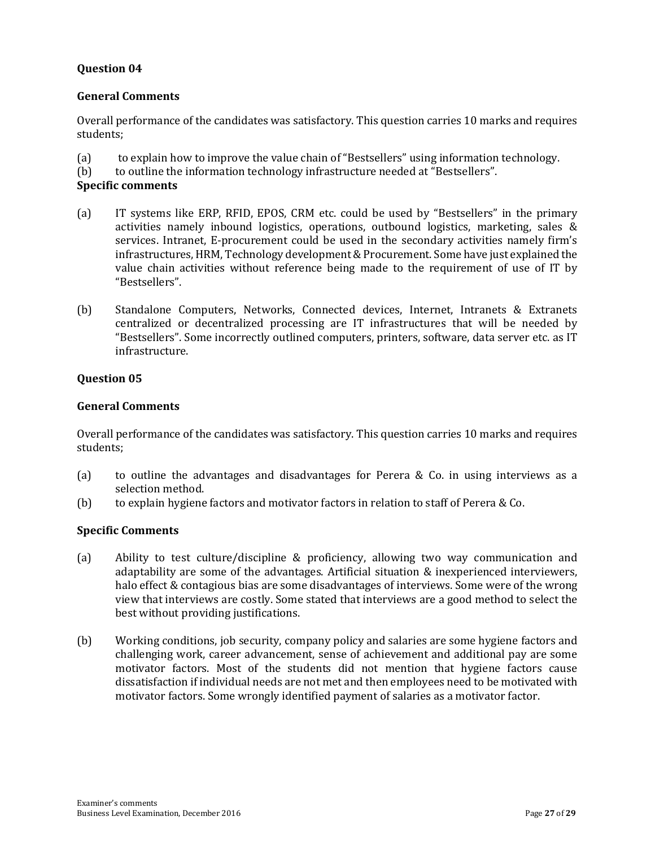#### **General Comments**

Overall performance of the candidates was satisfactory. This question carries 10 marks and requires students;

- (a) to explain how to improve the value chain of "Bestsellers" using information technology.
- (b) to outline the information technology infrastructure needed at "Bestsellers".

#### **Specific comments**

- (a) IT systems like ERP, RFID, EPOS, CRM etc. could be used by "Bestsellers" in the primary activities namely inbound logistics, operations, outbound logistics, marketing, sales & services. Intranet, E-procurement could be used in the secondary activities namely firm's infrastructures, HRM, Technology development & Procurement. Some have just explained the value chain activities without reference being made to the requirement of use of IT by "Bestsellers".
- (b) Standalone Computers, Networks, Connected devices, Internet, Intranets & Extranets centralized or decentralized processing are IT infrastructures that will be needed by "Bestsellers". Some incorrectly outlined computers, printers, software, data server etc. as IT infrastructure.

#### **Question 05**

#### **General Comments**

Overall performance of the candidates was satisfactory. This question carries 10 marks and requires students;

- (a) to outline the advantages and disadvantages for Perera & Co. in using interviews as a selection method.
- (b) to explain hygiene factors and motivator factors in relation to staff of Perera & Co.

#### **Specific Comments**

- (a) Ability to test culture/discipline & proficiency, allowing two way communication and adaptability are some of the advantages. Artificial situation & inexperienced interviewers, halo effect & contagious bias are some disadvantages of interviews. Some were of the wrong view that interviews are costly. Some stated that interviews are a good method to select the best without providing justifications.
- (b) Working conditions, job security, company policy and salaries are some hygiene factors and challenging work, career advancement, sense of achievement and additional pay are some motivator factors. Most of the students did not mention that hygiene factors cause dissatisfaction if individual needs are not met and then employees need to be motivated with motivator factors. Some wrongly identified payment of salaries as a motivator factor.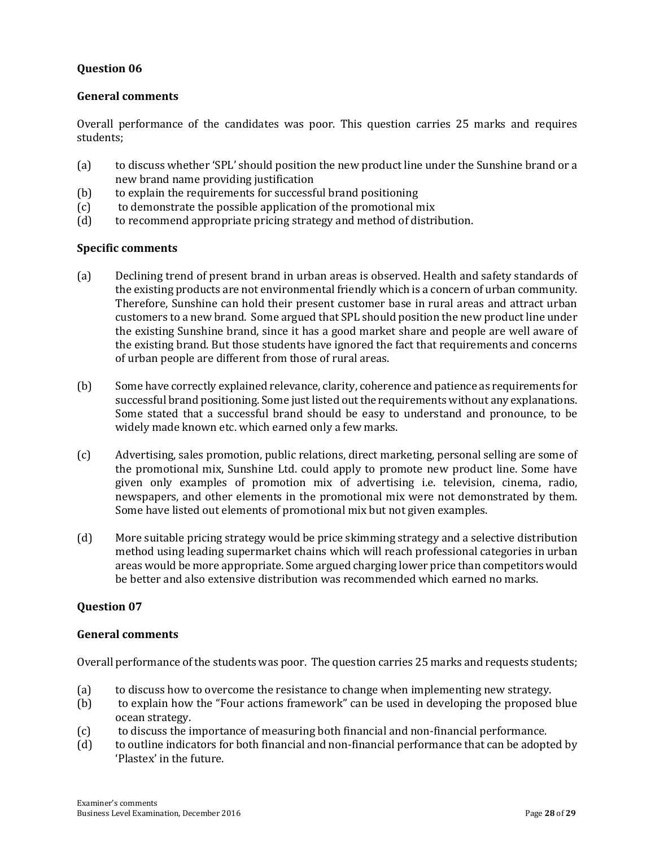#### **General comments**

Overall performance of the candidates was poor. This question carries 25 marks and requires students;

- (a) to discuss whether 'SPL' should position the new product line under the Sunshine brand or a new brand name providing justification
- (b) to explain the requirements for successful brand positioning
- (c) to demonstrate the possible application of the promotional mix
- (d) to recommend appropriate pricing strategy and method of distribution.

#### **Specific comments**

- (a) Declining trend of present brand in urban areas is observed. Health and safety standards of the existing products are not environmental friendly which is a concern of urban community. Therefore, Sunshine can hold their present customer base in rural areas and attract urban customers to a new brand. Some argued that SPL should position the new product line under the existing Sunshine brand, since it has a good market share and people are well aware of the existing brand. But those students have ignored the fact that requirements and concerns of urban people are different from those of rural areas.
- (b) Some have correctly explained relevance, clarity, coherence and patience as requirements for successful brand positioning. Some just listed out the requirements without any explanations. Some stated that a successful brand should be easy to understand and pronounce, to be widely made known etc. which earned only a few marks.
- (c) Advertising, sales promotion, public relations, direct marketing, personal selling are some of the promotional mix, Sunshine Ltd. could apply to promote new product line. Some have given only examples of promotion mix of advertising i.e. television, cinema, radio, newspapers, and other elements in the promotional mix were not demonstrated by them. Some have listed out elements of promotional mix but not given examples.
- (d) More suitable pricing strategy would be price skimming strategy and a selective distribution method using leading supermarket chains which will reach professional categories in urban areas would be more appropriate. Some argued charging lower price than competitors would be better and also extensive distribution was recommended which earned no marks.

#### **Question 07**

#### **General comments**

Overall performance of the students was poor. The question carries 25 marks and requests students;

- (a) to discuss how to overcome the resistance to change when implementing new strategy.
- (b) to explain how the "Four actions framework" can be used in developing the proposed blue ocean strategy.
- (c) to discuss the importance of measuring both financial and non-financial performance.
- (d) to outline indicators for both financial and non-financial performance that can be adopted by 'Plastex' in the future.